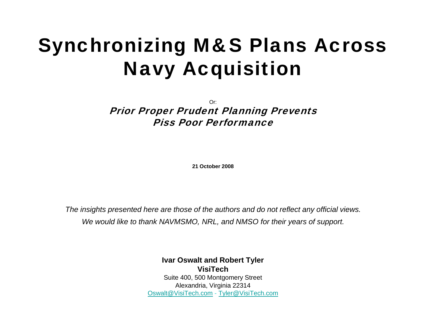# Synchronizing M&S Plans Across Navy Acquisition

Or: Prior Proper Prudent Planning Prevents Piss Poor Performance

**21 October 2008**

*The insights presented here are those of the authors and do not reflect any official views. We would like to thank NAVMSMO, NRL, and NMSO for their years of support.*

> **Ivar Oswalt and Robert Tyler VisiTech**Suite 400, 500 Montgomery Street Alexandria, Virginia 22314 [Oswalt@VisiTech.com](mailto:Oswalt@VisiTech.com) - [Tyler@VisiTech.com](mailto:Tyler@VisiTech.com)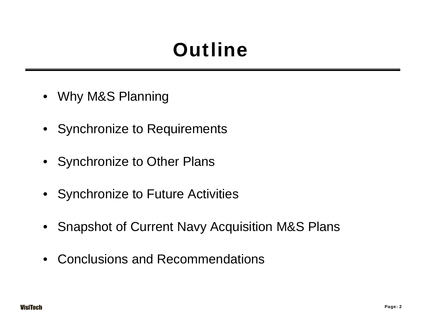# **Outline**

- Why M&S Planning
- Synchronize to Requirements
- Synchronize to Other Plans
- Synchronize to Future Activities
- Snapshot of Current Navy Acquisition M&S Plans
- $\bullet$ Conclusions and Recommendations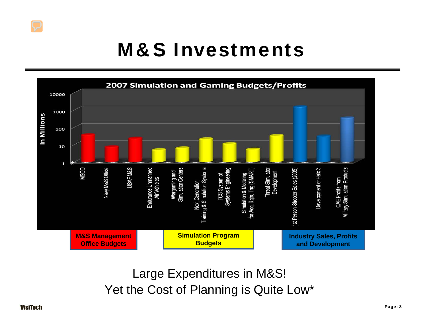#### M&S Investments



Large Expenditures in M&S! Yet the Cost of Planning is Quite Low\*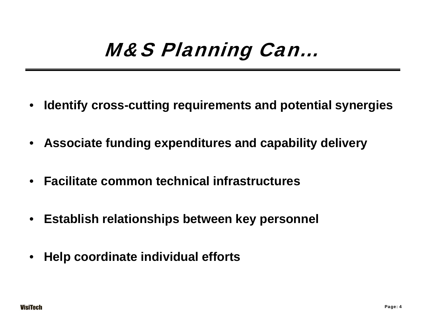## M&S Planning Can…

- •**Identify cross-cutting requirements and potential synergies**
- **Associate funding expenditures and capability delivery**
- **Facilitate common technical infrastructures**
- **Establish relationships between key personnel**
- •**Help coordinate individual efforts**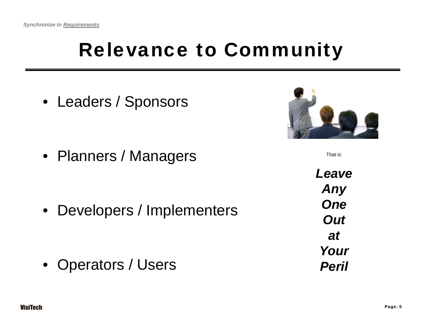## Relevance to Community

• Leaders / Sponsors

• Planners / Managers

• Developers / Implementers



That is:

• Operators / Users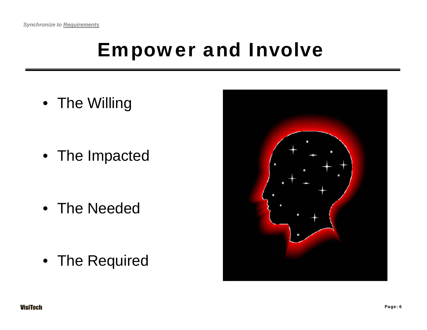#### Empower and Involve

• The Willing

• The Impacted

• The Needed

• The Required

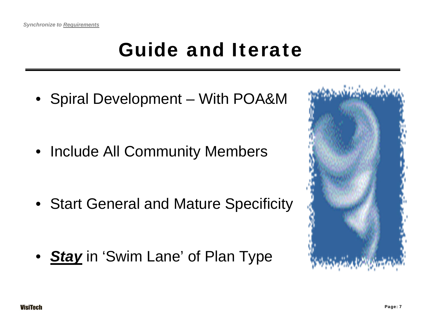# Guide and Iterate

• Spiral Development – With POA&M

• Include All Community Members

• Start General and Mature Specificity

• *Stay* in 'Swim Lane' of Plan Type

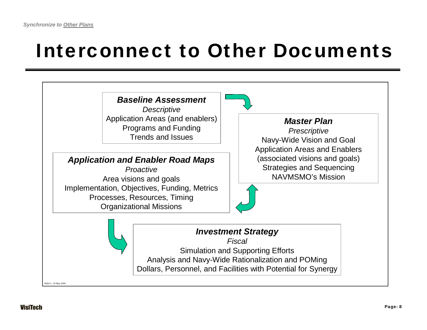## Interconnect to Other Documents

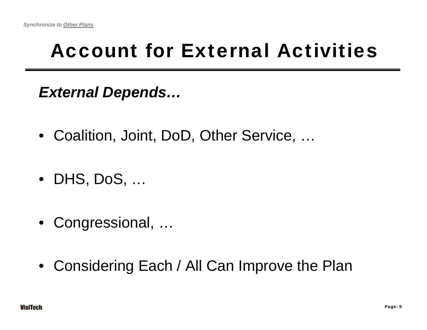# Account for External Activities

*External Depends…*

- Coalition, Joint, DoD, Other Service, …
- DHS, DoS, …
- Congressional, …
- Considering Each / All Can Improve the Plan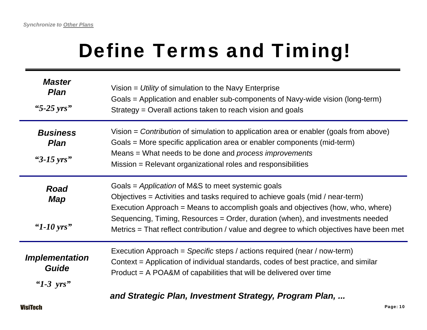# Define Terms and Timing!

| <b>Master</b><br><b>Plan</b><br>"5-25 yrs"                   | Vision $=$ Utility of simulation to the Navy Enterprise<br>Goals = Application and enabler sub-components of Navy-wide vision (long-term)<br>Strategy = Overall actions taken to reach vision and goals                                                                                                                                                                                             |
|--------------------------------------------------------------|-----------------------------------------------------------------------------------------------------------------------------------------------------------------------------------------------------------------------------------------------------------------------------------------------------------------------------------------------------------------------------------------------------|
| <b>Business</b><br><b>Plan</b><br>" $3-15 \,\text{yrs}$ "    | Vision = Contribution of simulation to application area or enabler (goals from above)<br>Goals = More specific application area or enabler components (mid-term)<br>Means = What needs to be done and process improvements<br>Mission = Relevant organizational roles and responsibilities                                                                                                          |
| <b>Road</b><br>Map<br>" $1-10$ yrs"                          | Goals = Application of M&S to meet systemic goals<br>Objectives = Activities and tasks required to achieve goals (mid / near-term)<br>Execution Approach = Means to accomplish goals and objectives (how, who, where)<br>Sequencing, Timing, Resources = Order, duration (when), and investments needed<br>Metrics = That reflect contribution / value and degree to which objectives have been met |
| <i><b>Implementation</b></i><br><b>Guide</b><br>" $1-3$ yrs" | Execution Approach = Specific steps / actions required (near / now-term)<br>Context = Application of individual standards, codes of best practice, and similar<br>$Product = A POA&M of capabilities that will be delivered over time$                                                                                                                                                              |
|                                                              | $\blacksquare$                                                                                                                                                                                                                                                                                                                                                                                      |

*and Strategic Plan, Investment Strategy, Program Plan, ...*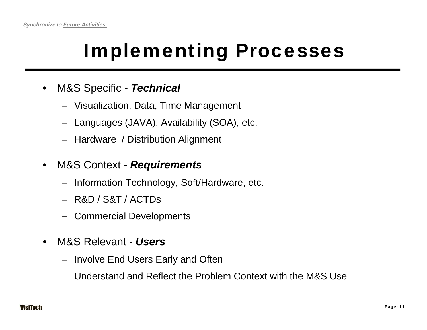# Implementing Processes

- $\bullet$  M&S Specific - *Technical*
	- Visualization, Data, Time Management
	- Languages (JAVA), Availability (SOA), etc.
	- Hardware / Distribution Alignment
- • M&S Context - *Requirements*
	- Information Technology, Soft/Hardware, etc.
	- R&D / S&T / ACTDs
	- Commercial Developments
- • M&S Relevant - *Users*
	- Involve End Users Early and Often
	- Understand and Reflect the Problem Context with the M&S Use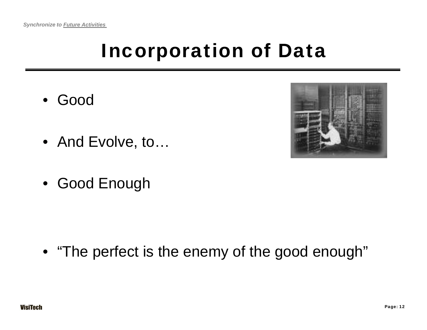# Incorporation of Data

- Good
- And Evolve, to…
- Good Enough

• "The perfect is the enemy of the good enough"

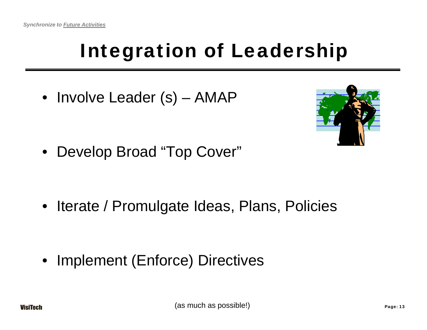# Integration of Leadership

• Involve Leader (s) – AMAP



• Develop Broad "Top Cover"

• Iterate / Promulgate Ideas, Plans, Policies

• Implement (Enforce) Directives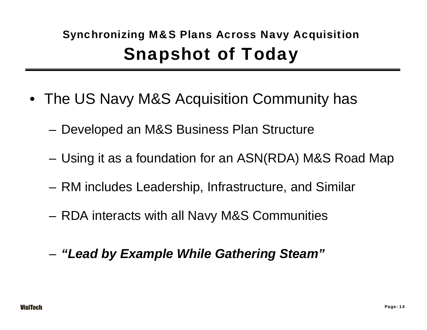#### Synchronizing M&S Plans Across Navy Acquisition Snapshot of Today

- The US Navy M&S Acquisition Community has
	- –Developed an M&S Business Plan Structure
	- –Using it as a foundation for an ASN(RDA) M&S Road Map
	- –RM includes Leadership, Infrastructure, and Similar
	- –RDA interacts with all Navy M&S Communities
	- *"Lead by Example While Gathering Steam"*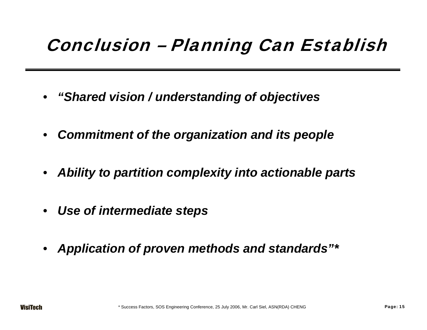#### Conclusion – Planning Can Establish

- •*"Shared vision / understanding of objectives*
- $\bullet$ *Commitment of the organization and its people*
- *Ability to partition complexity into actionable parts*
- $\bullet$ *Use of intermediate steps*
- *Application of proven methods and standards"\**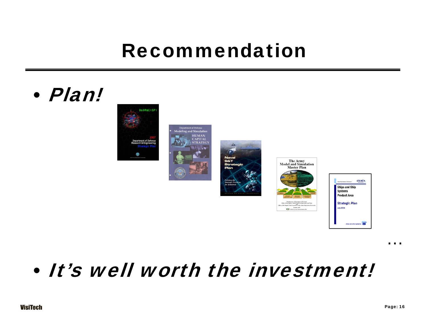#### Recommendation

#### •Plan!











#### •It's well worth the investment!

…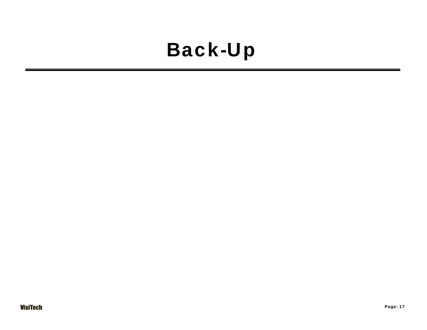#### Back-Up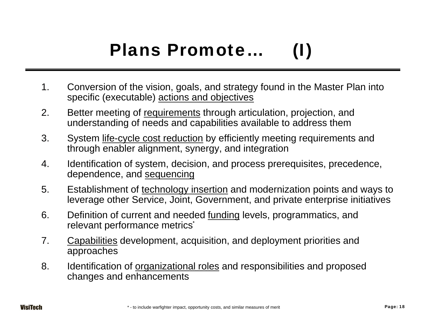#### Plans Promote...

- 1. Conversion of the vision, goals, and strategy found in the Master Plan into specific (executable) actions and objectives
- 2. Better meeting of requirements through articulation, projection, and understanding of needs and capabilities available to address them
- 3. System life-cycle cost reduction by efficiently meeting requirements and through enabler alignment, synergy, and integration
- 4. Identification of system, decision, and process prerequisites, precedence, dependence, and sequencing
- 5. Establishment of technology insertion and modernization points and ways to leverage other Service, Joint, Government, and private enterprise initiatives
- 6. Definition of current and needed funding levels, programmatics, and relevant performance metrics**\***
- 7. Capabilities development, acquisition, and deployment priorities and approaches
- 8. Identification of <u>organizational roles</u> and responsibilities and proposed changes and enhancements